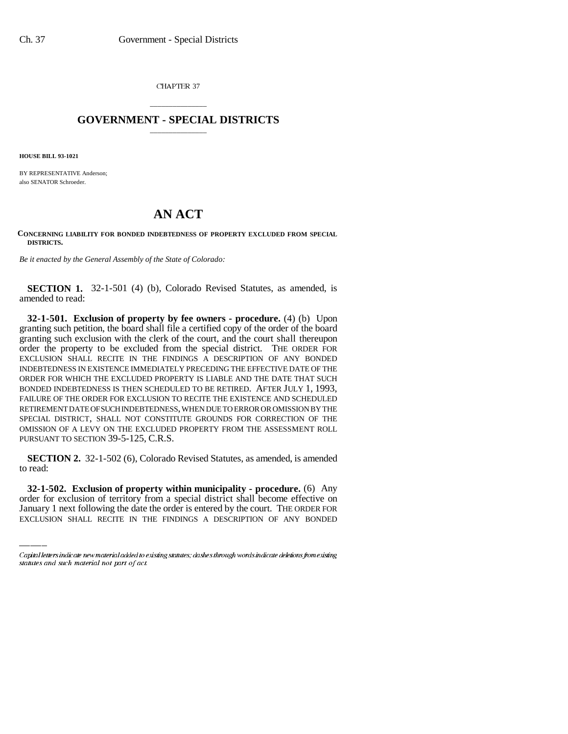CHAPTER 37

## \_\_\_\_\_\_\_\_\_\_\_\_\_\_\_ **GOVERNMENT - SPECIAL DISTRICTS** \_\_\_\_\_\_\_\_\_\_\_\_\_\_\_

**HOUSE BILL 93-1021**

BY REPRESENTATIVE Anderson; also SENATOR Schroeder.

## **AN ACT**

## **CONCERNING LIABILITY FOR BONDED INDEBTEDNESS OF PROPERTY EXCLUDED FROM SPECIAL DISTRICTS.**

*Be it enacted by the General Assembly of the State of Colorado:*

**SECTION 1.** 32-1-501 (4) (b), Colorado Revised Statutes, as amended, is amended to read:

**32-1-501. Exclusion of property by fee owners - procedure.** (4) (b) Upon granting such petition, the board shall file a certified copy of the order of the board granting such exclusion with the clerk of the court, and the court shall thereupon order the property to be excluded from the special district. THE ORDER FOR EXCLUSION SHALL RECITE IN THE FINDINGS A DESCRIPTION OF ANY BONDED INDEBTEDNESS IN EXISTENCE IMMEDIATELY PRECEDING THE EFFECTIVE DATE OF THE ORDER FOR WHICH THE EXCLUDED PROPERTY IS LIABLE AND THE DATE THAT SUCH BONDED INDEBTEDNESS IS THEN SCHEDULED TO BE RETIRED. AFTER JULY 1, 1993, FAILURE OF THE ORDER FOR EXCLUSION TO RECITE THE EXISTENCE AND SCHEDULED RETIREMENT DATE OF SUCH INDEBTEDNESS, WHEN DUE TO ERROR OR OMISSION BY THE SPECIAL DISTRICT, SHALL NOT CONSTITUTE GROUNDS FOR CORRECTION OF THE OMISSION OF A LEVY ON THE EXCLUDED PROPERTY FROM THE ASSESSMENT ROLL PURSUANT TO SECTION 39-5-125, C.R.S.

to read: **SECTION 2.** 32-1-502 (6), Colorado Revised Statutes, as amended, is amended

**32-1-502. Exclusion of property within municipality - procedure.** (6) Any order for exclusion of territory from a special district shall become effective on January 1 next following the date the order is entered by the court. THE ORDER FOR EXCLUSION SHALL RECITE IN THE FINDINGS A DESCRIPTION OF ANY BONDED

Capital letters indicate new material added to existing statutes; dashes through words indicate deletions from existing statutes and such material not part of act.